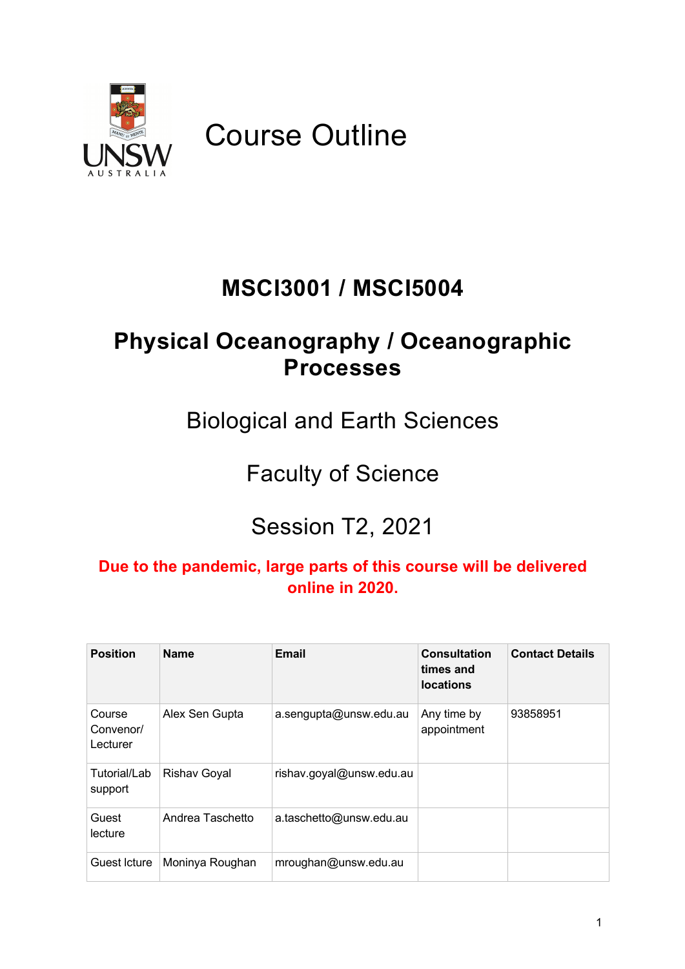

Course Outline

# **MSCI3001 / MSCI5004**

# **Physical Oceanography / Oceanographic Processes**

Biological and Earth Sciences

# Faculty of Science

# Session T2, 2021

### **Due to the pandemic, large parts of this course will be delivered online in 2020.**

| <b>Position</b>                 | <b>Name</b>         | Email                    | Consultation<br>times and<br><b>locations</b> | <b>Contact Details</b> |
|---------------------------------|---------------------|--------------------------|-----------------------------------------------|------------------------|
| Course<br>Convenor/<br>Lecturer | Alex Sen Gupta      | a.sengupta@unsw.edu.au   | Any time by<br>appointment                    | 93858951               |
| Tutorial/Lab<br>support         | <b>Rishav Goyal</b> | rishav.goyal@unsw.edu.au |                                               |                        |
| Guest<br>lecture                | Andrea Taschetto    | a.taschetto@unsw.edu.au  |                                               |                        |
| Guest Icture                    | Moninya Roughan     | mroughan@unsw.edu.au     |                                               |                        |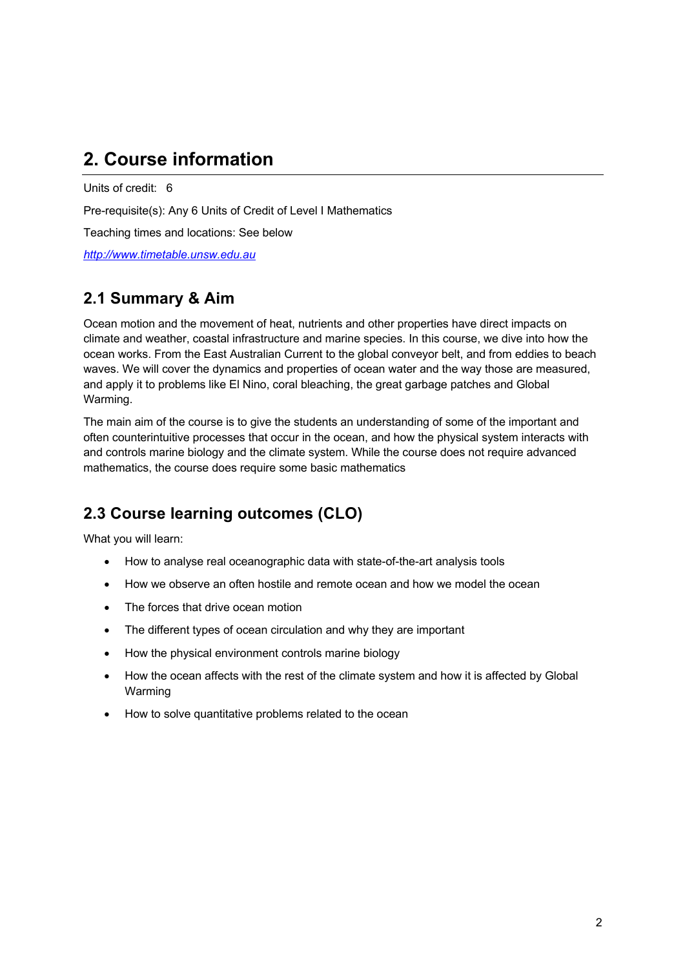# **2. Course information**

Units of credit: 6

Pre-requisite(s): Any 6 Units of Credit of Level I Mathematics

Teaching times and locations: See below

*http://www.timetable.unsw.edu.au*

### **2.1 Summary & Aim**

Ocean motion and the movement of heat, nutrients and other properties have direct impacts on climate and weather, coastal infrastructure and marine species. In this course, we dive into how the ocean works. From the East Australian Current to the global conveyor belt, and from eddies to beach waves. We will cover the dynamics and properties of ocean water and the way those are measured, and apply it to problems like El Nino, coral bleaching, the great garbage patches and Global Warming.

The main aim of the course is to give the students an understanding of some of the important and often counterintuitive processes that occur in the ocean, and how the physical system interacts with and controls marine biology and the climate system. While the course does not require advanced mathematics, the course does require some basic mathematics

## **2.3 Course learning outcomes (CLO)**

What you will learn:

- How to analyse real oceanographic data with state-of-the-art analysis tools
- How we observe an often hostile and remote ocean and how we model the ocean
- The forces that drive ocean motion
- The different types of ocean circulation and why they are important
- How the physical environment controls marine biology
- How the ocean affects with the rest of the climate system and how it is affected by Global Warming
- How to solve quantitative problems related to the ocean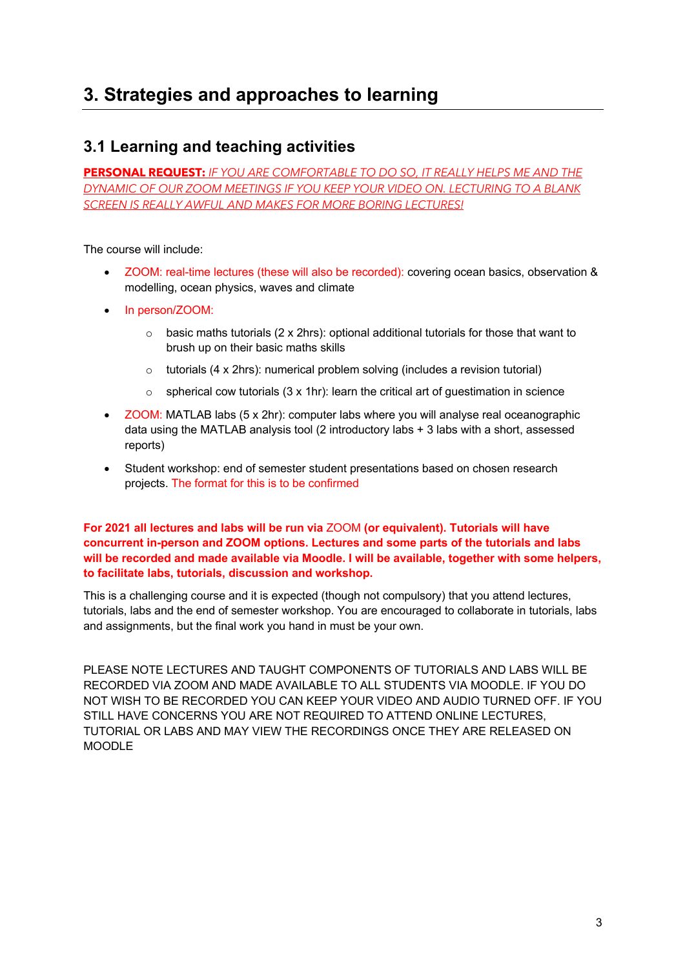# **3. Strategies and approaches to learning**

### **3.1 Learning and teaching activities**

**PERSONAL REQUEST:** *IF YOU ARE COMFORTABLE TO DO SO, IT REALLY HELPS ME AND THE DYNAMIC OF OUR ZOOM MEETINGS IF YOU KEEP YOUR VIDEO ON. LECTURING TO A BLANK SCREEN IS REALLY AWFUL AND MAKES FOR MORE BORING LECTURES!*

The course will include:

- ZOOM: real-time lectures (these will also be recorded): covering ocean basics, observation & modelling, ocean physics, waves and climate
- In person/ZOOM:
	- $\circ$  basic maths tutorials (2 x 2hrs): optional additional tutorials for those that want to brush up on their basic maths skills
	- o tutorials (4 x 2hrs): numerical problem solving (includes a revision tutorial)
	- $\circ$  spherical cow tutorials (3 x 1hr): learn the critical art of guestimation in science
- ZOOM: MATLAB labs (5 x 2hr): computer labs where you will analyse real oceanographic data using the MATLAB analysis tool (2 introductory labs + 3 labs with a short, assessed reports)
- Student workshop: end of semester student presentations based on chosen research projects. The format for this is to be confirmed

**For 2021 all lectures and labs will be run via** ZOOM **(or equivalent). Tutorials will have concurrent in-person and ZOOM options. Lectures and some parts of the tutorials and labs will be recorded and made available via Moodle. I will be available, together with some helpers, to facilitate labs, tutorials, discussion and workshop.**

This is a challenging course and it is expected (though not compulsory) that you attend lectures, tutorials, labs and the end of semester workshop. You are encouraged to collaborate in tutorials, labs and assignments, but the final work you hand in must be your own.

PLEASE NOTE LECTURES AND TAUGHT COMPONENTS OF TUTORIALS AND LABS WILL BE RECORDED VIA ZOOM AND MADE AVAILABLE TO ALL STUDENTS VIA MOODLE. IF YOU DO NOT WISH TO BE RECORDED YOU CAN KEEP YOUR VIDEO AND AUDIO TURNED OFF. IF YOU STILL HAVE CONCERNS YOU ARE NOT REQUIRED TO ATTEND ONLINE LECTURES, TUTORIAL OR LABS AND MAY VIEW THE RECORDINGS ONCE THEY ARE RELEASED ON MOODLE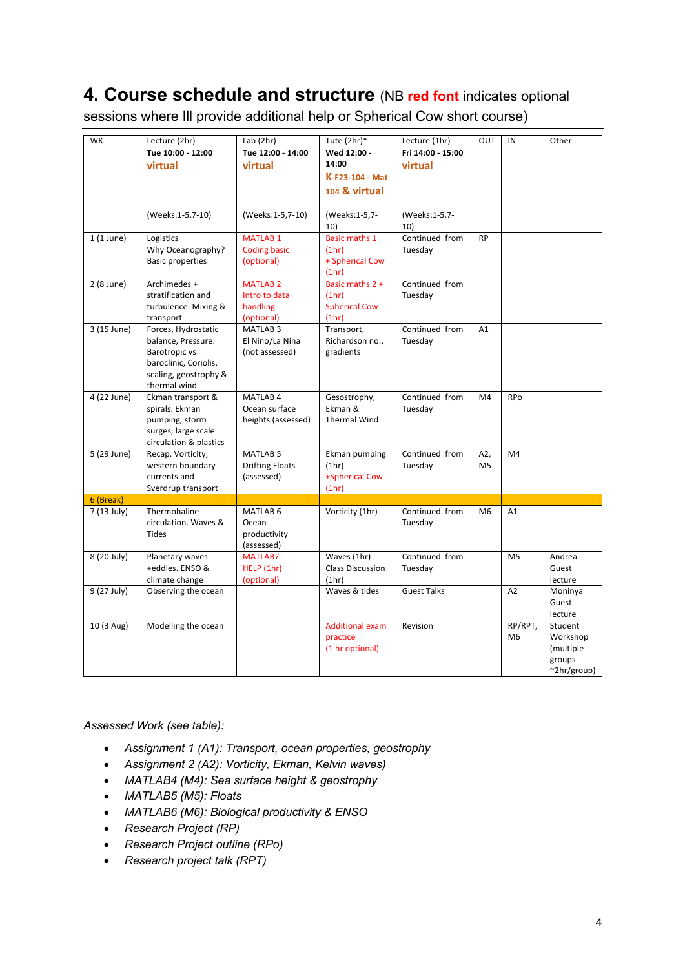## **4. Course schedule and structure** (NB **red font** indicates optional

sessions where Ill provide additional help or Spherical Cow short course)

| WK          | Lecture (2hr)                    | Lab $(2hr)$                       | Tute $(2hr)^*$          | Lecture (1hr)      | OUT            | IN             | Other                       |
|-------------|----------------------------------|-----------------------------------|-------------------------|--------------------|----------------|----------------|-----------------------------|
|             | Tue 10:00 - 12:00                | Tue 12:00 - 14:00                 | Wed 12:00 -             | Fri 14:00 - 15:00  |                |                |                             |
|             | virtual                          | virtual                           | 14:00                   | virtual            |                |                |                             |
|             |                                  |                                   | K-F23-104 - Mat         |                    |                |                |                             |
|             |                                  |                                   | 104 & virtual           |                    |                |                |                             |
|             |                                  |                                   |                         |                    |                |                |                             |
|             | (Weeks:1-5,7-10)                 | (Weeks:1-5,7-10)                  | (Weeks:1-5,7-           | (Weeks:1-5,7-      |                |                |                             |
|             |                                  |                                   | 10)                     | 10)                |                |                |                             |
| $1(1$ June) | Logistics                        | <b>MATLAB1</b>                    | <b>Basic maths 1</b>    | Continued from     | <b>RP</b>      |                |                             |
|             | Why Oceanography?                | <b>Coding basic</b>               | (1hr)                   | Tuesday            |                |                |                             |
|             | <b>Basic properties</b>          | (optional)                        | + Spherical Cow         |                    |                |                |                             |
|             |                                  |                                   | (1hr)                   |                    |                |                |                             |
| 2 (8 June)  | Archimedes +                     | <b>MATLAB 2</b>                   | Basic maths 2 +         | Continued from     |                |                |                             |
|             | stratification and               | Intro to data                     | (1hr)                   | Tuesday            |                |                |                             |
|             | turbulence. Mixing &             | handling                          | <b>Spherical Cow</b>    |                    |                |                |                             |
| 3 (15 June) | transport<br>Forces, Hydrostatic | (optional)<br>MATLAB <sub>3</sub> | (1hr)<br>Transport,     | Continued from     | A1             |                |                             |
|             | balance, Pressure.               | El Nino/La Nina                   | Richardson no.,         | Tuesday            |                |                |                             |
|             | Barotropic vs                    | (not assessed)                    | gradients               |                    |                |                |                             |
|             | baroclinic, Coriolis,            |                                   |                         |                    |                |                |                             |
|             | scaling, geostrophy &            |                                   |                         |                    |                |                |                             |
|             | thermal wind                     |                                   |                         |                    |                |                |                             |
| 4 (22 June) | Ekman transport &                | MATLAB <sub>4</sub>               | Gesostrophy,            | Continued from     | M <sub>4</sub> | RPo            |                             |
|             | spirals. Ekman                   | Ocean surface                     | Ekman &                 | Tuesday            |                |                |                             |
|             | pumping, storm                   | heights (assessed)                | <b>Thermal Wind</b>     |                    |                |                |                             |
|             | surges, large scale              |                                   |                         |                    |                |                |                             |
|             | circulation & plastics           |                                   |                         |                    |                |                |                             |
| 5 (29 June) | Recap. Vorticity,                | <b>MATLAB 5</b>                   | Ekman pumping           | Continued from     | A2,            | M4             |                             |
|             | western boundary                 | <b>Drifting Floats</b>            | (1hr)                   | Tuesday            | M <sub>5</sub> |                |                             |
|             | currents and                     | (assessed)                        | +Spherical Cow          |                    |                |                |                             |
| 6 (Break)   | Sverdrup transport               |                                   | (1hr)                   |                    |                |                |                             |
| 7 (13 July) | Thermohaline                     | MATLAB <sub>6</sub>               | Vorticity (1hr)         | Continued from     | M <sub>6</sub> | A1             |                             |
|             | circulation. Waves &             | Ocean                             |                         | Tuesday            |                |                |                             |
|             | <b>Tides</b>                     | productivity                      |                         |                    |                |                |                             |
|             |                                  | (assessed)                        |                         |                    |                |                |                             |
| 8 (20 July) | Planetary waves                  | <b>MATLAB7</b>                    | Waves (1hr)             | Continued from     |                | M <sub>5</sub> | Andrea                      |
|             | +eddies. ENSO &                  | HELP (1hr)                        | <b>Class Discussion</b> | Tuesday            |                |                | Guest                       |
|             | climate change                   | (optional)                        | (1hr)                   |                    |                |                | lecture                     |
| 9 (27 July) | Observing the ocean              |                                   | Waves & tides           | <b>Guest Talks</b> |                | A <sub>2</sub> | Moninya                     |
|             |                                  |                                   |                         |                    |                |                | Guest                       |
|             |                                  |                                   |                         |                    |                |                | lecture                     |
| 10 (3 Aug)  | Modelling the ocean              |                                   | <b>Additional exam</b>  | Revision           |                | RP/RPT,        | Student                     |
|             |                                  |                                   | practice                |                    |                | M <sub>6</sub> | Workshop                    |
|             |                                  |                                   | (1 hr optional)         |                    |                |                | (multiple                   |
|             |                                  |                                   |                         |                    |                |                | groups<br>$\sim$ 2hr/group) |

*Assessed Work (see table):*

- *Assignment 1 (A1): Transport, ocean properties, geostrophy*
- *Assignment 2 (A2): Vorticity, Ekman, Kelvin waves)*
- *MATLAB4 (M4): Sea surface height & geostrophy*
- *MATLAB5 (M5): Floats*
- *MATLAB6 (M6): Biological productivity & ENSO*
- *Research Project (RP)*
- *Research Project outline (RPo)*
- *Research project talk (RPT)*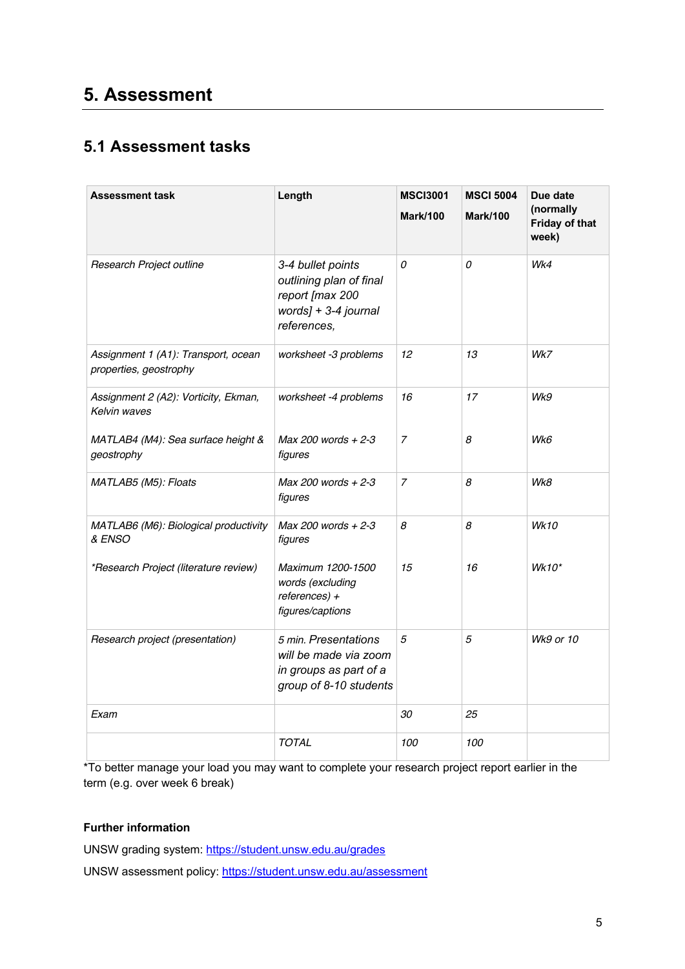# **5. Assessment**

### **5.1 Assessment tasks**

| <b>Assessment task</b>                                        | Length                                                                                                 | <b>MSCI3001</b><br><b>Mark/100</b> | <b>MSCI 5004</b><br><b>Mark/100</b> | Due date<br>(normally<br>Friday of that<br>week) |
|---------------------------------------------------------------|--------------------------------------------------------------------------------------------------------|------------------------------------|-------------------------------------|--------------------------------------------------|
| Research Project outline                                      | 3-4 bullet points<br>outlining plan of final<br>report [max 200<br>words] + 3-4 journal<br>references, | 0                                  | 0                                   | Wk4                                              |
| Assignment 1 (A1): Transport, ocean<br>properties, geostrophy | worksheet -3 problems                                                                                  | 12                                 | 13                                  | Wk7                                              |
| Assignment 2 (A2): Vorticity, Ekman,<br>Kelvin waves          | worksheet -4 problems                                                                                  | 16                                 | 17                                  | Wk9                                              |
| MATLAB4 (M4): Sea surface height &<br>geostrophy              | Max 200 words $+2-3$<br>figures                                                                        | $\overline{7}$                     | 8                                   | Wk6                                              |
| MATLAB5 (M5): Floats                                          | Max 200 words $+2-3$<br>figures                                                                        | $\overline{7}$                     | 8                                   | Wk8                                              |
| MATLAB6 (M6): Biological productivity<br>& ENSO               | Max 200 words $+2-3$<br>figures                                                                        | 8                                  | 8                                   | <b>Wk10</b>                                      |
| *Research Project (literature review)                         | Maximum 1200-1500<br>words (excluding<br>$references) +$<br>figures/captions                           | 15                                 | 16                                  | Wk10*                                            |
| Research project (presentation)                               | 5 min. Presentations<br>will be made via zoom<br>in groups as part of a<br>group of 8-10 students      | 5                                  | 5                                   | <b>Wk9 or 10</b>                                 |
| Exam                                                          |                                                                                                        | 30                                 | 25                                  |                                                  |
|                                                               | <b>TOTAL</b>                                                                                           | 100                                | 100                                 |                                                  |

\*To better manage your load you may want to complete your research project report earlier in the term (e.g. over week 6 break)

#### **Further information**

UNSW grading system: https://student.unsw.edu.au/grades

UNSW assessment policy: https://student.unsw.edu.au/assessment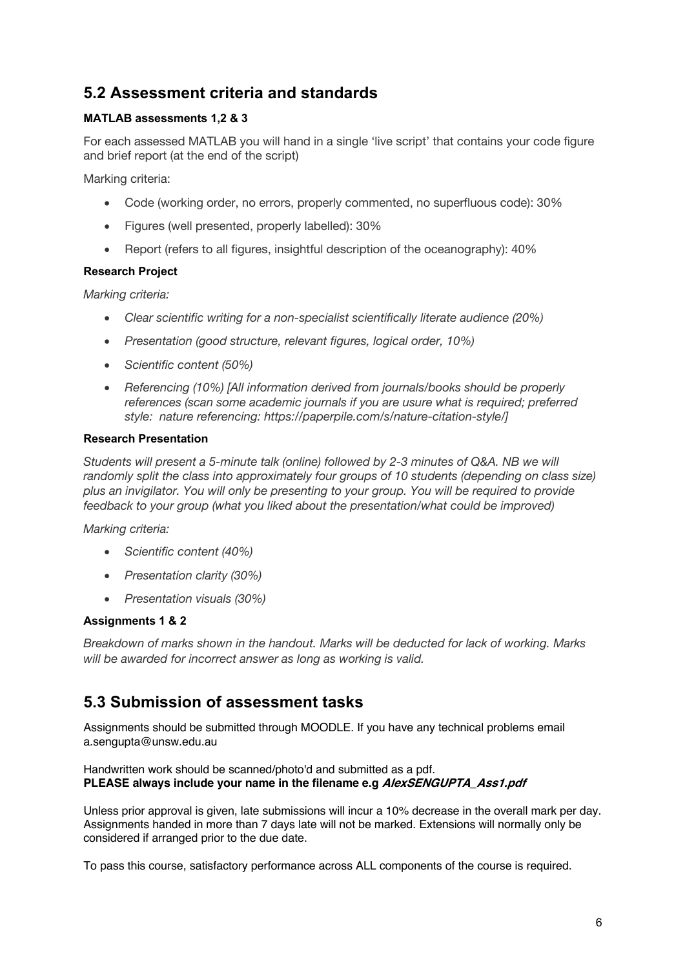### **5.2 Assessment criteria and standards**

#### **MATLAB assessments 1,2 & 3**

For each assessed MATLAB you will hand in a single 'live script' that contains your code figure and brief report (at the end of the script)

Marking criteria:

- Code (working order, no errors, properly commented, no superfluous code): 30%
- Figures (well presented, properly labelled): 30%
- Report (refers to all figures, insightful description of the oceanography): 40%

#### **Research Project**

*Marking criteria:*

- *Clear scientific writing for a non-specialist scientifically literate audience (20%)*
- *Presentation (good structure, relevant figures, logical order, 10%)*
- *Scientific content (50%)*
- *Referencing (10%) [All information derived from journals/books should be properly references (scan some academic journals if you are usure what is required; preferred style: nature referencing: https://paperpile.com/s/nature-citation-style/]*

#### **Research Presentation**

*Students will present a 5-minute talk (online) followed by 2-3 minutes of Q&A. NB we will*  randomly split the class into approximately four groups of 10 students (depending on class size) *plus an invigilator. You will only be presenting to your group. You will be required to provide feedback to your group (what you liked about the presentation/what could be improved)*

*Marking criteria:*

- *Scientific content (40%)*
- *Presentation clarity (30%)*
- *Presentation visuals (30%)*

#### **Assignments 1 & 2**

*Breakdown of marks shown in the handout. Marks will be deducted for lack of working. Marks will be awarded for incorrect answer as long as working is valid.*

### **5.3 Submission of assessment tasks**

Assignments should be submitted through MOODLE. If you have any technical problems email a.sengupta@unsw.edu.au

Handwritten work should be scanned/photo'd and submitted as a pdf. **PLEASE always include your name in the filename e.g AlexSENGUPTA\_Ass1.pdf**

Unless prior approval is given, late submissions will incur a 10% decrease in the overall mark per day. Assignments handed in more than 7 days late will not be marked. Extensions will normally only be considered if arranged prior to the due date.

To pass this course, satisfactory performance across ALL components of the course is required.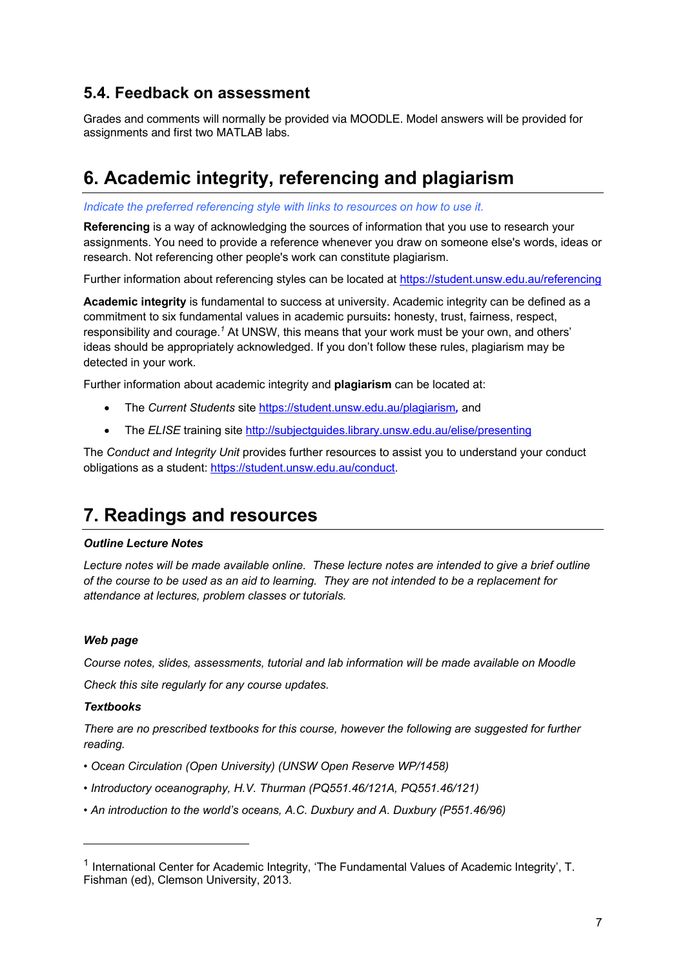### **5.4. Feedback on assessment**

Grades and comments will normally be provided via MOODLE. Model answers will be provided for assignments and first two MATLAB labs.

# **6. Academic integrity, referencing and plagiarism**

*Indicate the preferred referencing style with links to resources on how to use it.*

**Referencing** is a way of acknowledging the sources of information that you use to research your assignments. You need to provide a reference whenever you draw on someone else's words, ideas or research. Not referencing other people's work can constitute plagiarism.

Further information about referencing styles can be located at https://student.unsw.edu.au/referencing

**Academic integrity** is fundamental to success at university. Academic integrity can be defined as a commitment to six fundamental values in academic pursuits**:** honesty, trust, fairness, respect, responsibility and courage.*<sup>1</sup>* At UNSW, this means that your work must be your own, and others' ideas should be appropriately acknowledged. If you don't follow these rules, plagiarism may be detected in your work.

Further information about academic integrity and **plagiarism** can be located at:

- The *Current Students* site https://student.unsw.edu.au/plagiarism*,* and
- The *ELISE* training site http://subjectguides.library.unsw.edu.au/elise/presenting

The *Conduct and Integrity Unit* provides further resources to assist you to understand your conduct obligations as a student: https://student.unsw.edu.au/conduct.

### **7. Readings and resources**

#### *Outline Lecture Notes*

*Lecture notes will be made available online. These lecture notes are intended to give a brief outline of the course to be used as an aid to learning. They are not intended to be a replacement for attendance at lectures, problem classes or tutorials.* 

#### *Web page*

*Course notes, slides, assessments, tutorial and lab information will be made available on Moodle*

*Check this site regularly for any course updates.* 

#### *Textbooks*

*There are no prescribed textbooks for this course, however the following are suggested for further reading.*

- *Ocean Circulation (Open University) (UNSW Open Reserve WP/1458)*
- *Introductory oceanography, H.V. Thurman (PQ551.46/121A, PQ551.46/121)*
- *An introduction to the world's oceans, A.C. Duxbury and A. Duxbury (P551.46/96)*

<sup>1</sup> International Center for Academic Integrity, 'The Fundamental Values of Academic Integrity', T. Fishman (ed), Clemson University, 2013.